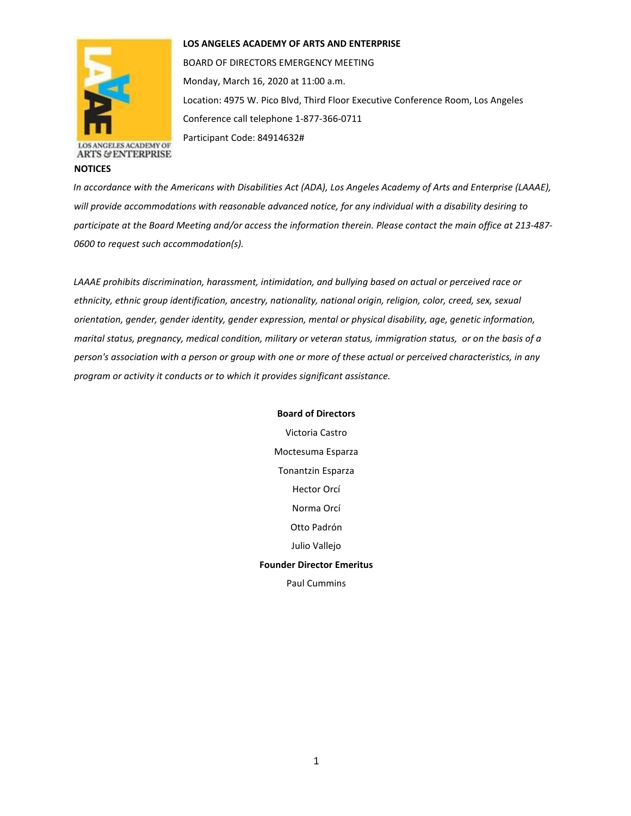

**NOTICES**

## **LOS ANGELES ACADEMY OF ARTS AND ENTERPRISE**

BOARD OF DIRECTORS EMERGENCY MEETING Monday, March 16, 2020 at 11:00 a.m. Location: 4975 W. Pico Blvd, Third Floor Executive Conference Room, Los Angeles Conference call telephone 1-877-366-0711

Participant Code: 84914632#

*In accordance with the Americans with Disabilities Act (ADA), Los Angeles Academy of Arts and Enterprise (LAAAE), will provide accommodations with reasonable advanced notice, for any individual with a disability desiring to participate at the Board Meeting and/or access the information therein. Please contact the main office at 213-487- 0600 to request such accommodation(s).* 

*LAAAE prohibits discrimination, harassment, intimidation, and bullying based on actual or perceived race or ethnicity, ethnic group identification, ancestry, nationality, national origin, religion, color, creed, sex, sexual orientation, gender, gender identity, gender expression, mental or physical disability, age, genetic information, marital status, pregnancy, medical condition, military or veteran status, immigration status, or on the basis of a person's association with a person or group with one or more of these actual or perceived characteristics, in any program or activity it conducts or to which it provides significant assistance.* 

> **Board of Directors** Victoria Castro Moctesuma Esparza Tonantzin Esparza Hector Orcí Norma Orcí Otto Padrón Julio Vallejo **Founder Director Emeritus** Paul Cummins